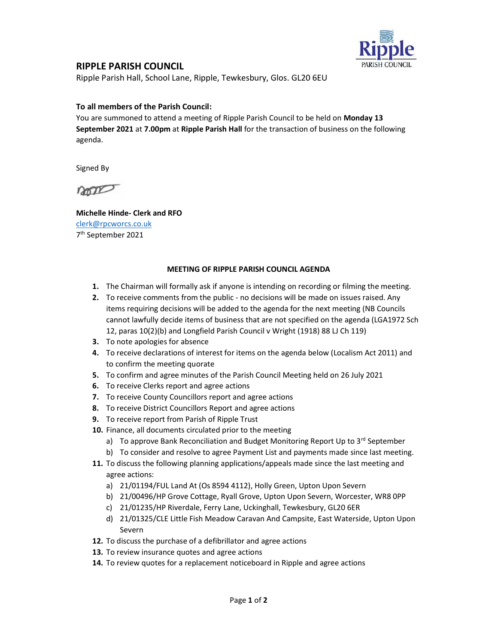

## RIPPLE PARISH COUNCIL

Ripple Parish Hall, School Lane, Ripple, Tewkesbury, Glos. GL20 6EU

## To all members of the Parish Council:

You are summoned to attend a meeting of Ripple Parish Council to be held on Monday 13 September 2021 at 7.00pm at Ripple Parish Hall for the transaction of business on the following agenda.

Signed By

non

Michelle Hinde- Clerk and RFO clerk@rpcworcs.co.uk 7 th September 2021

## MEETING OF RIPPLE PARISH COUNCIL AGENDA

- 1. The Chairman will formally ask if anyone is intending on recording or filming the meeting.
- 2. To receive comments from the public no decisions will be made on issues raised. Any items requiring decisions will be added to the agenda for the next meeting (NB Councils cannot lawfully decide items of business that are not specified on the agenda (LGA1972 Sch 12, paras 10(2)(b) and Longfield Parish Council v Wright (1918) 88 LJ Ch 119)
- 3. To note apologies for absence
- 4. To receive declarations of interest for items on the agenda below (Localism Act 2011) and to confirm the meeting quorate
- 5. To confirm and agree minutes of the Parish Council Meeting held on 26 July 2021
- 6. To receive Clerks report and agree actions
- 7. To receive County Councillors report and agree actions
- 8. To receive District Councillors Report and agree actions
- 9. To receive report from Parish of Ripple Trust
- 10. Finance, all documents circulated prior to the meeting
	- a) To approve Bank Reconciliation and Budget Monitoring Report Up to 3<sup>rd</sup> September
	- b) To consider and resolve to agree Payment List and payments made since last meeting.
- 11. To discuss the following planning applications/appeals made since the last meeting and agree actions:
	- a) 21/01194/FUL Land At (Os 8594 4112), Holly Green, Upton Upon Severn
	- b) 21/00496/HP Grove Cottage, Ryall Grove, Upton Upon Severn, Worcester, WR8 0PP
	- c) 21/01235/HP Riverdale, Ferry Lane, Uckinghall, Tewkesbury, GL20 6ER
	- d) 21/01325/CLE Little Fish Meadow Caravan And Campsite, East Waterside, Upton Upon Severn
- 12. To discuss the purchase of a defibrillator and agree actions
- 13. To review insurance quotes and agree actions
- 14. To review quotes for a replacement noticeboard in Ripple and agree actions